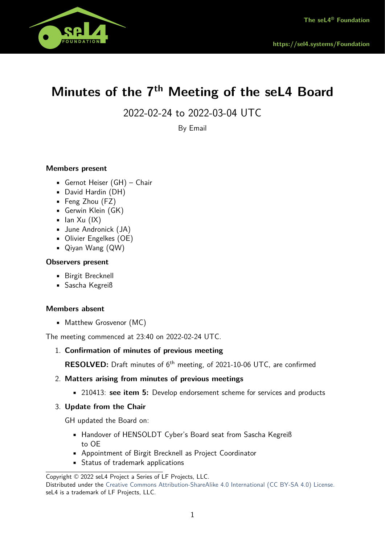

# **Minutes of the 7th Meeting of the seL4 Board**

2022-02-24 to 2022-03-04 UTC

By Email

# **Members present**

- Gernot Heiser (GH) Chair
- David Hardin (DH)
- Feng Zhou (FZ)
- Gerwin Klein (GK)
- $\blacksquare$  Ian Xu (IX)
- June Andronick (JA)
- Olivier Engelkes (OE)
- Qiyan Wang (QW)

#### **Observers present**

- Birgit Brecknell
- Sascha Kegreiß

#### **Members absent**

• Matthew Grosvenor (MC)

The meeting commenced at 23:40 on 2022-02-24 UTC.

1. **Confirmation of minutes of previous meeting**

**RESOLVED:** Draft minutes of 6<sup>th</sup> meeting, of 2021-10-06 UTC, are confirmed

#### 2. **Matters arising from minutes of previous meetings**

• 210413: **see item 5:** Develop endorsement scheme for services and products

#### 3. **Update from the Chair**

GH updated the Board on:

- Handover of HENSOLDT Cyber's Board seat from Sascha Kegreiß to OE
- Appointment of Birgit Brecknell as Project Coordinator
- Status of trademark applications

Distributed under the [Creative Commons Attribution-ShareAlike 4.0 International \(CC BY-SA 4.0\) License.](https://creativecommons.org/licenses/by-sa/4.0/legalcode) seL4 is a trademark of LF Projects, LLC.

Copyright © 2022 seL4 Project a Series of LF Projects, LLC.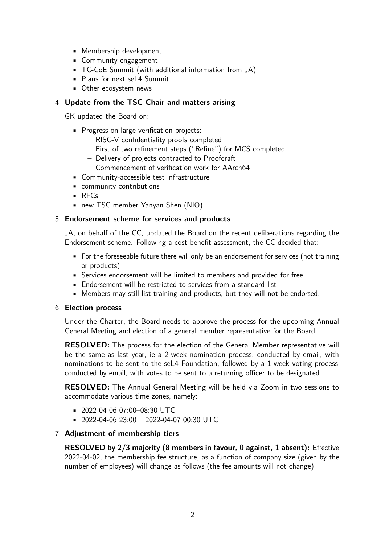- Membership development
- Community engagement
- TC-CoE Summit (with additional information from JA)
- Plans for next seL4 Summit
- Other ecosystem news

# 4. **Update from the TSC Chair and matters arising**

GK updated the Board on:

- **Progress on large verification projects:** 
	- **–** RISC-V confidentiality proofs completed
	- **–** First of two refinement steps ("Refine") for MCS completed
	- **–** Delivery of projects contracted to Proofcraft
	- **–** Commencement of verification work for AArch64
- Community-accessible test infrastructure
- community contributions
- RFCs
- new TSC member Yanyan Shen (NIO)

## 5. **Endorsement scheme for services and products**

JA, on behalf of the CC, updated the Board on the recent deliberations regarding the Endorsement scheme. Following a cost-benefit assessment, the CC decided that:

- For the foreseeable future there will only be an endorsement for services (not training or products)
- Services endorsement will be limited to members and provided for free
- Endorsement will be restricted to services from a standard list
- Members may still list training and products, but they will not be endorsed.

#### 6. **Election process**

Under the Charter, the Board needs to approve the process for the upcoming Annual General Meeting and election of a general member representative for the Board.

**RESOLVED:** The process for the election of the General Member representative will be the same as last year, ie a 2-week nomination process, conducted by email, with nominations to be sent to the seL4 Foundation, followed by a 1-week voting process, conducted by email, with votes to be sent to a returning officer to be designated.

**RESOLVED:** The Annual General Meeting will be held via Zoom in two sessions to accommodate various time zones, namely:

- $= 2022 04 0607:00 08:30$  UTC
- 2022-04-06 23:00 2022-04-07 00:30 UTC

#### 7. **Adjustment of membership tiers**

**RESOLVED by 2/3 majority (8 members in favour, 0 against, 1 absent):** Effective 2022-04-02, the membership fee structure, as a function of company size (given by the number of employees) will change as follows (the fee amounts will not change):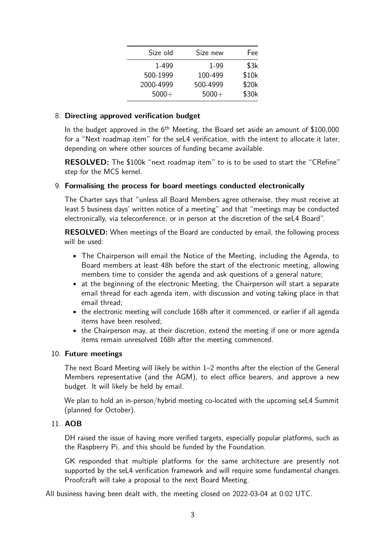| Size old  | Size new | Fee   |
|-----------|----------|-------|
| 1-499     | 1-99     | \$3k  |
| 500-1999  | 100-499  | \$10k |
| 2000-4999 | 500-4999 | \$20k |
| $5000+$   | $5000+$  | \$30k |

## 8. **Directing approved verification budget**

In the budget approved in the  $6<sup>th</sup>$  Meeting, the Board set aside an amount of \$100,000 for a "Next roadmap item" for the seL4 verification, with the intent to allocate it later, depending on where other sources of funding became available.

**RESOLVED:** The \$100k "next roadmap item" to is to be used to start the "CRefine" step for the MCS kernel.

## 9. **Formalising the process for board meetings conducted electronically**

The Charter says that "unless all Board Members agree otherwise, they must receive at least 5 business days' written notice of a meeting" and that "meetings may be conducted electronically, via teleconference, or in person at the discretion of the seL4 Board".

**RESOLVED:** When meetings of the Board are conducted by email, the following process will be used:

- The Chairperson will email the Notice of the Meeting, including the Agenda, to Board members at least 48h before the start of the electronic meeting, allowing members time to consider the agenda and ask questions of a general nature;
- at the beginning of the electronic Meeting, the Chairperson will start a separate email thread for each agenda item, with discussion and voting taking place in that email thread;
- the electronic meeting will conclude 168h after it commenced, or earlier if all agenda items have been resolved;
- the Chairperson may, at their discretion, extend the meeting if one or more agenda items remain unresolved 168h after the meeting commenced.

#### 10. **Future meetings**

The next Board Meeting will likely be within 1–2 months after the election of the General Members representative (and the AGM), to elect office bearers, and approve a new budget. It will likely be held by email.

We plan to hold an in-person/hybrid meeting co-located with the upcoming sela Summit (planned for October).

# 11. **AOB**

DH raised the issue of having more verified targets, especially popular platforms, such as the Raspberry Pi, and this should be funded by the Foundation.

GK responded that multiple platforms for the same architecture are presently not supported by the seL4 verification framework and will require some fundamental changes. Proofcraft will take a proposal to the next Board Meeting.

All business having been dealt with, the meeting closed on 2022-03-04 at 0:02 UTC.